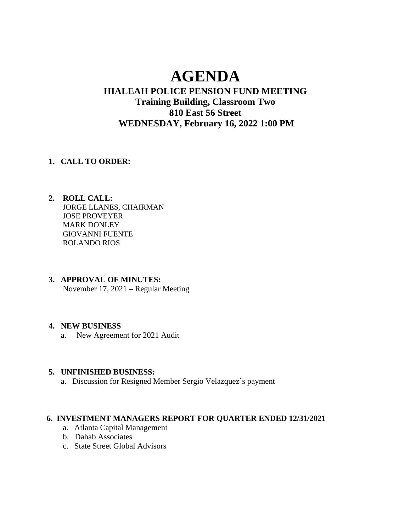# **AGENDA**

# **HIALEAH POLICE PENSION FUND MEETING Training Building, Classroom Two 810 East 56 Street WEDNESDAY, February 16, 2022 1:00 PM**

#### **1. CALL TO ORDER:**

- **2. ROLL CALL:** JORGE LLANES, CHAIRMAN JOSE PROVEYER MARK DONLEY GIOVANNI FUENTE ROLANDO RIOS
- **3. APPROVAL OF MINUTES:**

November 17, 2021 **–** Regular Meeting

# **4. NEW BUSINESS**

a. New Agreement for 2021 Audit

#### **5. UNFINISHED BUSINESS:**

a. Discussion for Resigned Member Sergio Velazquez's payment

# **6. INVESTMENT MANAGERS REPORT FOR QUARTER ENDED 12/31/2021**

- a. Atlanta Capital Management
- b. Dahab Associates
- c. State Street Global Advisors